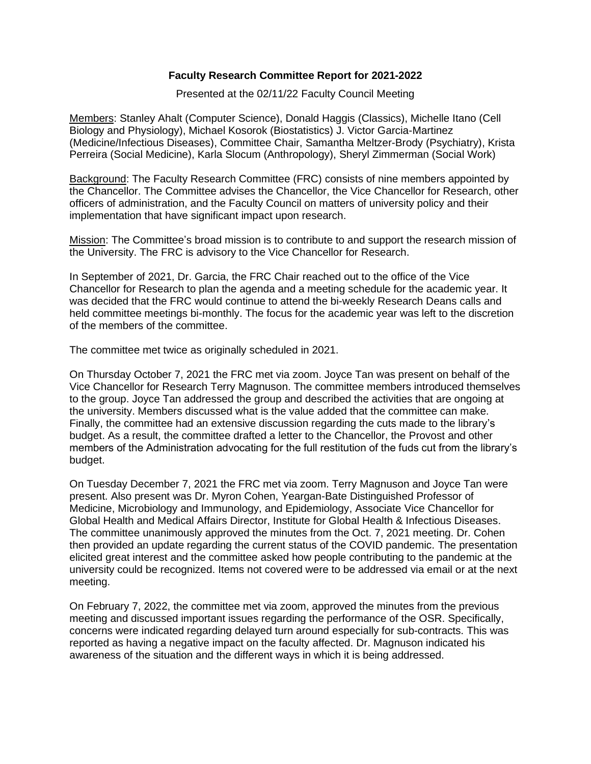## **Faculty Research Committee Report for 2021-2022**

Presented at the 02/11/22 Faculty Council Meeting

Members: Stanley Ahalt (Computer Science), Donald Haggis (Classics), Michelle Itano (Cell Biology and Physiology), Michael Kosorok (Biostatistics) J. Victor Garcia-Martinez (Medicine/Infectious Diseases), Committee Chair, Samantha Meltzer-Brody (Psychiatry), Krista Perreira (Social Medicine), Karla Slocum (Anthropology), Sheryl Zimmerman (Social Work)

Background: The Faculty Research Committee (FRC) consists of nine members appointed by the Chancellor. The Committee advises the Chancellor, the Vice Chancellor for Research, other officers of administration, and the Faculty Council on matters of university policy and their implementation that have significant impact upon research.

Mission: The Committee's broad mission is to contribute to and support the research mission of the University. The FRC is advisory to the Vice Chancellor for Research.

In September of 2021, Dr. Garcia, the FRC Chair reached out to the office of the Vice Chancellor for Research to plan the agenda and a meeting schedule for the academic year. It was decided that the FRC would continue to attend the bi-weekly Research Deans calls and held committee meetings bi-monthly. The focus for the academic year was left to the discretion of the members of the committee.

The committee met twice as originally scheduled in 2021.

On Thursday October 7, 2021 the FRC met via zoom. Joyce Tan was present on behalf of the Vice Chancellor for Research Terry Magnuson. The committee members introduced themselves to the group. Joyce Tan addressed the group and described the activities that are ongoing at the university. Members discussed what is the value added that the committee can make. Finally, the committee had an extensive discussion regarding the cuts made to the library's budget. As a result, the committee drafted a letter to the Chancellor, the Provost and other members of the Administration advocating for the full restitution of the fuds cut from the library's budget.

On Tuesday December 7, 2021 the FRC met via zoom. Terry Magnuson and Joyce Tan were present. Also present was Dr. Myron Cohen, Yeargan-Bate Distinguished Professor of Medicine, Microbiology and Immunology, and Epidemiology, Associate Vice Chancellor for Global Health and Medical Affairs Director, Institute for Global Health & Infectious Diseases. The committee unanimously approved the minutes from the Oct. 7, 2021 meeting. Dr. Cohen then provided an update regarding the current status of the COVID pandemic. The presentation elicited great interest and the committee asked how people contributing to the pandemic at the university could be recognized. Items not covered were to be addressed via email or at the next meeting.

On February 7, 2022, the committee met via zoom, approved the minutes from the previous meeting and discussed important issues regarding the performance of the OSR. Specifically, concerns were indicated regarding delayed turn around especially for sub-contracts. This was reported as having a negative impact on the faculty affected. Dr. Magnuson indicated his awareness of the situation and the different ways in which it is being addressed.